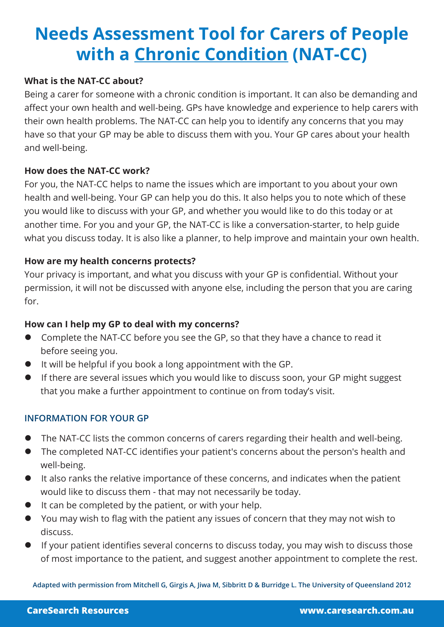# **Needs Assessment Tool for Carers of People with a Chronic Condition (NAT-CC)**

### **What is the NAT-CC about?**

Being a carer for someone with a chronic condition is important. It can also be demanding and affect your own health and well-being. GPs have knowledge and experience to help carers with their own health problems. The NAT-CC can help you to identify any concerns that you may have so that your GP may be able to discuss them with you. Your GP cares about your health and well-being.

#### **How does the NAT-CC work?**

For you, the NAT-CC helps to name the issues which are important to you about your own health and well-being. Your GP can help you do this. It also helps you to note which of these you would like to discuss with your GP, and whether you would like to do this today or at another time. For you and your GP, the NAT-CC is like a conversation-starter, to help guide what you discuss today. It is also like a planner, to help improve and maintain your own health.

### **How are my health concerns protects?**

Your privacy is important, and what you discuss with your GP is confidential. Without your permission, it will not be discussed with anyone else, including the person that you are caring for.

#### **How can I help my GP to deal with my concerns?**

- **•** Complete the NAT-CC before you see the GP, so that they have a chance to read it before seeing you.
- $\bullet$  It will be helpful if you book a long appointment with the GP.
- If there are several issues which you would like to discuss soon, your GP might suggest that you make a further appointment to continue on from today's visit.

#### **INFORMATION FOR YOUR GP**

- The NAT-CC lists the common concerns of carers regarding their health and well-being.
- The completed NAT-CC identifies your patient's concerns about the person's health and well-being.
- It also ranks the relative importance of these concerns, and indicates when the patient would like to discuss them - that may not necessarily be today.
- $\bullet$  It can be completed by the patient, or with your help.
- l You may wish to flag with the patient any issues of concern that they may not wish to discuss.
- If your patient identifies several concerns to discuss today, you may wish to discuss those of most importance to the patient, and suggest another appointment to complete the rest.

**Adapted with permission from Mitchell G, Girgis A, Jiwa M, Sibbritt D & Burridge L. The University of Queensland 2012**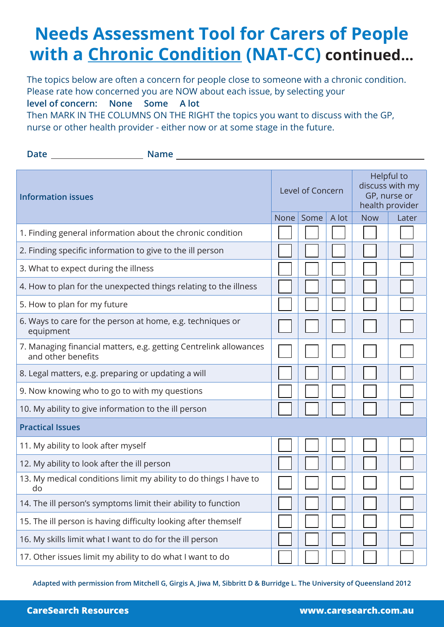# **Needs Assessment Tool for Carers of People with a Chronic Condition (NAT-CC) continued...**

The topics below are often a concern for people close to someone with a chronic condition. Please rate how concerned you are NOW about each issue, by selecting your **level of concern: None Some A lot** 

Then MARK IN THE COLUMNS ON THE RIGHT the topics you want to discuss with the GP, nurse or other health provider - either now or at some stage in the future.

| <b>Date</b>                                                                             | <b>Name</b> |                  |      |       |                                                                  |       |  |
|-----------------------------------------------------------------------------------------|-------------|------------------|------|-------|------------------------------------------------------------------|-------|--|
| <b>Information issues</b>                                                               |             | Level of Concern |      |       | Helpful to<br>discuss with my<br>GP, nurse or<br>health provider |       |  |
|                                                                                         |             | None             | Some | A lot | <b>Now</b>                                                       | Later |  |
| 1. Finding general information about the chronic condition                              |             |                  |      |       |                                                                  |       |  |
| 2. Finding specific information to give to the ill person                               |             |                  |      |       |                                                                  |       |  |
| 3. What to expect during the illness                                                    |             |                  |      |       |                                                                  |       |  |
| 4. How to plan for the unexpected things relating to the illness                        |             |                  |      |       |                                                                  |       |  |
| 5. How to plan for my future                                                            |             |                  |      |       |                                                                  |       |  |
| 6. Ways to care for the person at home, e.g. techniques or<br>equipment                 |             |                  |      |       |                                                                  |       |  |
| 7. Managing financial matters, e.g. getting Centrelink allowances<br>and other benefits |             |                  |      |       |                                                                  |       |  |
| 8. Legal matters, e.g. preparing or updating a will                                     |             |                  |      |       |                                                                  |       |  |
| 9. Now knowing who to go to with my questions                                           |             |                  |      |       |                                                                  |       |  |
| 10. My ability to give information to the ill person                                    |             |                  |      |       |                                                                  |       |  |
| <b>Practical Issues</b>                                                                 |             |                  |      |       |                                                                  |       |  |
| 11. My ability to look after myself                                                     |             |                  |      |       |                                                                  |       |  |
| 12. My ability to look after the ill person                                             |             |                  |      |       |                                                                  |       |  |
| 13. My medical conditions limit my ability to do things I have to<br>do                 |             |                  |      |       |                                                                  |       |  |
| 14. The ill person's symptoms limit their ability to function                           |             |                  |      |       |                                                                  |       |  |
| 15. The ill person is having difficulty looking after themself                          |             |                  |      |       |                                                                  |       |  |
| 16. My skills limit what I want to do for the ill person                                |             |                  |      |       |                                                                  |       |  |
| 17. Other issues limit my ability to do what I want to do                               |             |                  |      |       |                                                                  |       |  |

**Adapted with permission from Mitchell G, Girgis A, Jiwa M, Sibbritt D & Burridge L. The University of Queensland 2012**